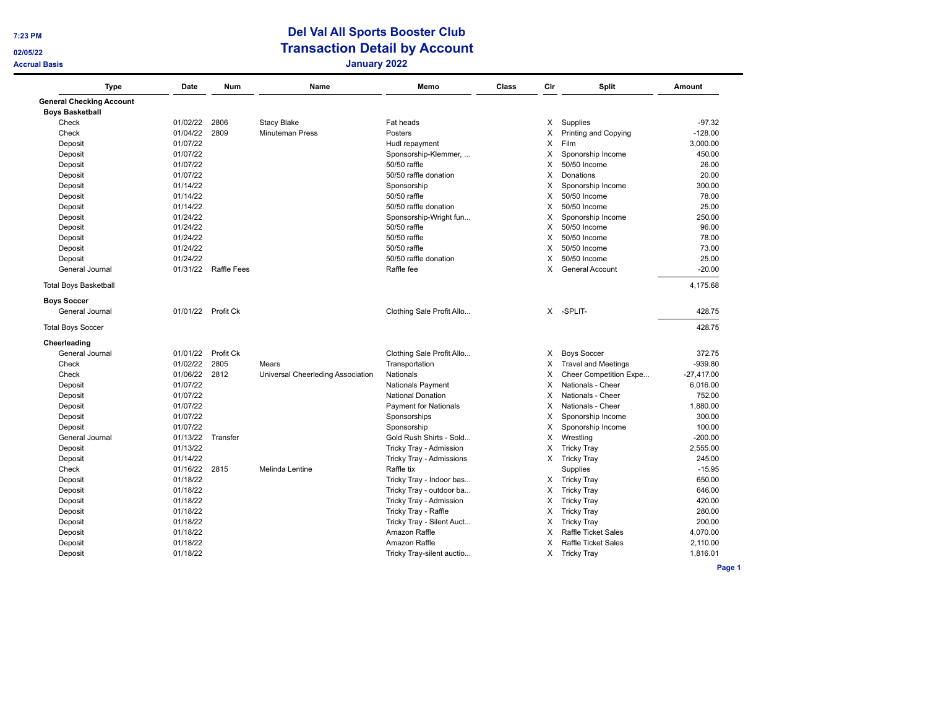# **Del Val All Sports Booster Club Transaction Detail by Account CONSISTS Accrual Basis January 2022**

| <b>Type</b>                     | Date     | <b>Num</b>         | Name                              | Memo                         | Class | Cir      | <b>Split</b>                | Amount       |
|---------------------------------|----------|--------------------|-----------------------------------|------------------------------|-------|----------|-----------------------------|--------------|
| <b>General Checking Account</b> |          |                    |                                   |                              |       |          |                             |              |
| <b>Boys Basketball</b>          |          |                    |                                   |                              |       |          |                             |              |
| Check                           | 01/02/22 | 2806               | <b>Stacy Blake</b>                | Fat heads                    |       |          | X Supplies                  | $-97.32$     |
| Check                           | 01/04/22 | 2809               | Minuteman Press                   | Posters                      |       | X        | <b>Printing and Copying</b> | $-128.00$    |
| Deposit                         | 01/07/22 |                    |                                   | Hudl repayment               |       | X        | Film                        | 3,000.00     |
| Deposit                         | 01/07/22 |                    |                                   | Sponsorship-Klemmer,         |       | X        | Sponorship Income           | 450.00       |
| Deposit                         | 01/07/22 |                    |                                   | 50/50 raffle                 |       | X        | 50/50 Income                | 26.00        |
| Deposit                         | 01/07/22 |                    |                                   | 50/50 raffle donation        |       | X        | Donations                   | 20.00        |
| Deposit                         | 01/14/22 |                    |                                   | Sponsorship                  |       | X        | Sponorship Income           | 300.00       |
| Deposit                         | 01/14/22 |                    |                                   | 50/50 raffle                 |       | X        | 50/50 Income                | 78.00        |
| Deposit                         | 01/14/22 |                    |                                   | 50/50 raffle donation        |       | X        | 50/50 Income                | 25.00        |
| Deposit                         | 01/24/22 |                    |                                   | Sponsorship-Wright fun       |       | X        | Sponorship Income           | 250.00       |
| Deposit                         | 01/24/22 |                    |                                   | 50/50 raffle                 |       | X        | 50/50 Income                | 96.00        |
| Deposit                         | 01/24/22 |                    |                                   | 50/50 raffle                 |       | X        | 50/50 Income                | 78.00        |
| Deposit                         | 01/24/22 |                    |                                   | 50/50 raffle                 |       | X        | 50/50 Income                | 73.00        |
| Deposit                         | 01/24/22 |                    |                                   | 50/50 raffle donation        |       | Х        | 50/50 Income                | 25.00        |
| General Journal                 | 01/31/22 | <b>Raffle Fees</b> |                                   | Raffle fee                   |       | X        | <b>General Account</b>      | $-20.00$     |
| <b>Total Boys Basketball</b>    |          |                    |                                   |                              |       |          |                             | 4,175.68     |
| <b>Boys Soccer</b>              |          |                    |                                   |                              |       |          |                             |              |
| General Journal                 | 01/01/22 | Profit Ck          |                                   | Clothing Sale Profit Allo    |       | $\times$ | -SPLIT-                     | 428.75       |
| <b>Total Boys Soccer</b>        |          |                    |                                   |                              |       |          |                             | 428.75       |
| Cheerleading                    |          |                    |                                   |                              |       |          |                             |              |
| General Journal                 | 01/01/22 | Profit Ck          |                                   | Clothing Sale Profit Allo    |       | X        | <b>Boys Soccer</b>          | 372.75       |
| Check                           | 01/02/22 | 2805               | Mears                             | Transportation               |       | X        | <b>Travel and Meetings</b>  | -939.80      |
| Check                           | 01/06/22 | 2812               | Universal Cheerleding Association | <b>Nationals</b>             |       | X        | Cheer Competition Expe      | $-27,417.00$ |
| Deposit                         | 01/07/22 |                    |                                   | <b>Nationals Payment</b>     |       | X        | Nationals - Cheer           | 6,016.00     |
| Deposit                         | 01/07/22 |                    |                                   | <b>National Donation</b>     |       | X        | Nationals - Cheer           | 752.00       |
| Deposit                         | 01/07/22 |                    |                                   | <b>Payment for Nationals</b> |       | X        | Nationals - Cheer           | 1.880.00     |
| Deposit                         | 01/07/22 |                    |                                   | Sponsorships                 |       | X        | Sponorship Income           | 300.00       |
| Deposit                         | 01/07/22 |                    |                                   | Sponsorship                  |       | X        | Sponorship Income           | 100.00       |
| General Journal                 | 01/13/22 | Transfer           |                                   | Gold Rush Shirts - Sold      |       | X        | Wrestling                   | $-200.00$    |
| Deposit                         | 01/13/22 |                    |                                   | Tricky Tray - Admission      |       | X        | <b>Tricky Tray</b>          | 2,555.00     |
| Deposit                         | 01/14/22 |                    |                                   | Tricky Tray - Admissions     |       | X        | <b>Tricky Tray</b>          | 245.00       |
| Check                           | 01/16/22 | 2815               | Melinda Lentine                   | Raffle tix                   |       |          | Supplies                    | $-15.95$     |
| Deposit                         | 01/18/22 |                    |                                   | Tricky Tray - Indoor bas     |       | X        | <b>Tricky Tray</b>          | 650.00       |
| Deposit                         | 01/18/22 |                    |                                   | Tricky Tray - outdoor ba     |       |          | X Tricky Tray               | 646.00       |
| Deposit                         | 01/18/22 |                    |                                   | Tricky Tray - Admission      |       | X        | <b>Tricky Tray</b>          | 420.00       |
| Deposit                         | 01/18/22 |                    |                                   | Tricky Tray - Raffle         |       | X        | <b>Tricky Tray</b>          | 280.00       |
| Deposit                         | 01/18/22 |                    |                                   | Tricky Tray - Silent Auct    |       | X        | <b>Tricky Tray</b>          | 200.00       |
| Deposit                         | 01/18/22 |                    |                                   | Amazon Raffle                |       | X        | Raffle Ticket Sales         | 4,070.00     |
| Deposit                         | 01/18/22 |                    |                                   | Amazon Raffle                |       | X        | <b>Raffle Ticket Sales</b>  | 2,110.00     |
| Deposit                         | 01/18/22 |                    |                                   | Tricky Tray-silent auctio    |       | X        | <b>Tricky Tray</b>          | 1,816.01     |
|                                 |          |                    |                                   |                              |       |          |                             |              |

**Page 1**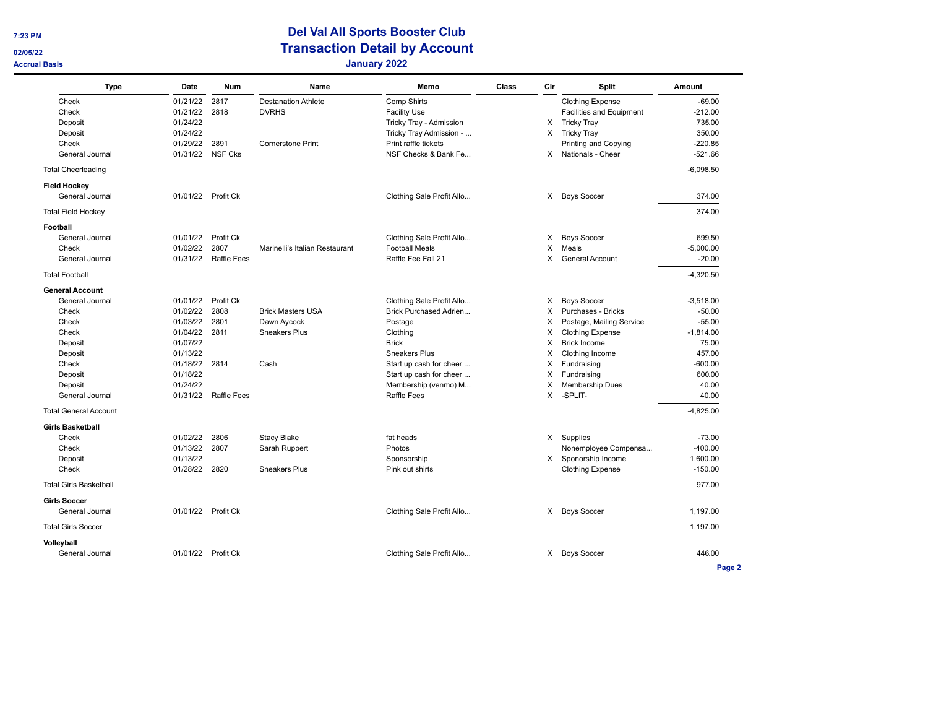# **Del Val All Sports Booster Club Transaction Detail by Account CONSISTS Accrual Basis January 2022**

| <b>Type</b>                   | Date     | Num                | Name                           | Memo                      | <b>Class</b> | Cir | Split                           | Amount      |
|-------------------------------|----------|--------------------|--------------------------------|---------------------------|--------------|-----|---------------------------------|-------------|
| Check                         | 01/21/22 | 2817               | <b>Destanation Athlete</b>     | Comp Shirts               |              |     | <b>Clothing Expense</b>         | $-69.00$    |
| Check                         | 01/21/22 | 2818               | <b>DVRHS</b>                   | <b>Facility Use</b>       |              |     | <b>Facilities and Equipment</b> | $-212.00$   |
| Deposit                       | 01/24/22 |                    |                                | Tricky Tray - Admission   |              | х   | <b>Tricky Tray</b>              | 735.00      |
| Deposit                       | 01/24/22 |                    |                                | Tricky Tray Admission -   |              | X   | <b>Tricky Tray</b>              | 350.00      |
| Check                         | 01/29/22 | 2891               | Cornerstone Print              | Print raffle tickets      |              |     | Printing and Copying            | $-220.85$   |
| General Journal               | 01/31/22 | <b>NSF Cks</b>     |                                | NSF Checks & Bank Fe      |              |     | X Nationals - Cheer             | $-521.66$   |
| <b>Total Cheerleading</b>     |          |                    |                                |                           |              |     |                                 | $-6,098.50$ |
| <b>Field Hockey</b>           |          |                    |                                |                           |              |     |                                 |             |
| General Journal               |          | 01/01/22 Profit Ck |                                | Clothing Sale Profit Allo |              |     | X Boys Soccer                   | 374.00      |
| <b>Total Field Hockey</b>     |          |                    |                                |                           |              |     |                                 | 374.00      |
| Football                      |          |                    |                                |                           |              |     |                                 |             |
| General Journal               | 01/01/22 | Profit Ck          |                                | Clothing Sale Profit Allo |              |     | X Boys Soccer                   | 699.50      |
| Check                         | 01/02/22 | 2807               | Marinelli's Italian Restaurant | <b>Football Meals</b>     |              | X   | Meals                           | $-5,000.00$ |
| General Journal               | 01/31/22 | <b>Raffle Fees</b> |                                | Raffle Fee Fall 21        |              | X   | General Account                 | $-20.00$    |
| <b>Total Football</b>         |          |                    |                                |                           |              |     |                                 | $-4,320.50$ |
| <b>General Account</b>        |          |                    |                                |                           |              |     |                                 |             |
| General Journal               | 01/01/22 | Profit Ck          |                                | Clothing Sale Profit Allo |              |     | X Boys Soccer                   | $-3,518.00$ |
| Check                         | 01/02/22 | 2808               | <b>Brick Masters USA</b>       | Brick Purchased Adrien    |              | X   | Purchases - Bricks              | $-50.00$    |
| Check                         | 01/03/22 | 2801               | Dawn Aycock                    | Postage                   |              | X   | Postage, Mailing Service        | $-55.00$    |
| Check                         | 01/04/22 | 2811               | <b>Sneakers Plus</b>           | Clothing                  |              | X   | <b>Clothing Expense</b>         | $-1,814.00$ |
| Deposit                       | 01/07/22 |                    |                                | <b>Brick</b>              |              | X   | <b>Brick Income</b>             | 75.00       |
| Deposit                       | 01/13/22 |                    |                                | Sneakers Plus             |              | X   | Clothing Income                 | 457.00      |
| Check                         | 01/18/22 | 2814               | Cash                           | Start up cash for cheer   |              |     | X Fundraising                   | $-600.00$   |
| Deposit                       | 01/18/22 |                    |                                | Start up cash for cheer   |              | X   | Fundraising                     | 600.00      |
| Deposit                       | 01/24/22 |                    |                                | Membership (venmo) M      |              | X   | <b>Membership Dues</b>          | 40.00       |
| General Journal               | 01/31/22 | Raffle Fees        |                                | <b>Raffle Fees</b>        |              | X   | -SPLIT-                         | 40.00       |
| <b>Total General Account</b>  |          |                    |                                |                           |              |     |                                 | $-4,825.00$ |
| <b>Girls Basketball</b>       |          |                    |                                |                           |              |     |                                 |             |
| Check                         | 01/02/22 | 2806               | <b>Stacy Blake</b>             | fat heads                 |              |     | X Supplies                      | $-73.00$    |
| Check                         | 01/13/22 | 2807               | Sarah Ruppert                  | Photos                    |              |     | Nonemployee Compensa            | $-400.00$   |
| Deposit                       | 01/13/22 |                    |                                | Sponsorship               |              |     | X Sponorship Income             | 1,600.00    |
| Check                         | 01/28/22 | 2820               | <b>Sneakers Plus</b>           | Pink out shirts           |              |     | <b>Clothing Expense</b>         | $-150.00$   |
| <b>Total Girls Basketball</b> |          |                    |                                |                           |              |     |                                 | 977.00      |
| <b>Girls Soccer</b>           |          |                    |                                |                           |              |     |                                 |             |
| General Journal               |          | 01/01/22 Profit Ck |                                | Clothing Sale Profit Allo |              |     | X Boys Soccer                   | 1,197.00    |
| <b>Total Girls Soccer</b>     |          |                    |                                |                           |              |     |                                 | 1,197.00    |
| Volleyball                    |          |                    |                                |                           |              |     |                                 |             |
| General Journal               |          | 01/01/22 Profit Ck |                                | Clothing Sale Profit Allo |              |     | X Boys Soccer                   | 446.00      |
|                               |          |                    |                                |                           |              |     |                                 | Page 2      |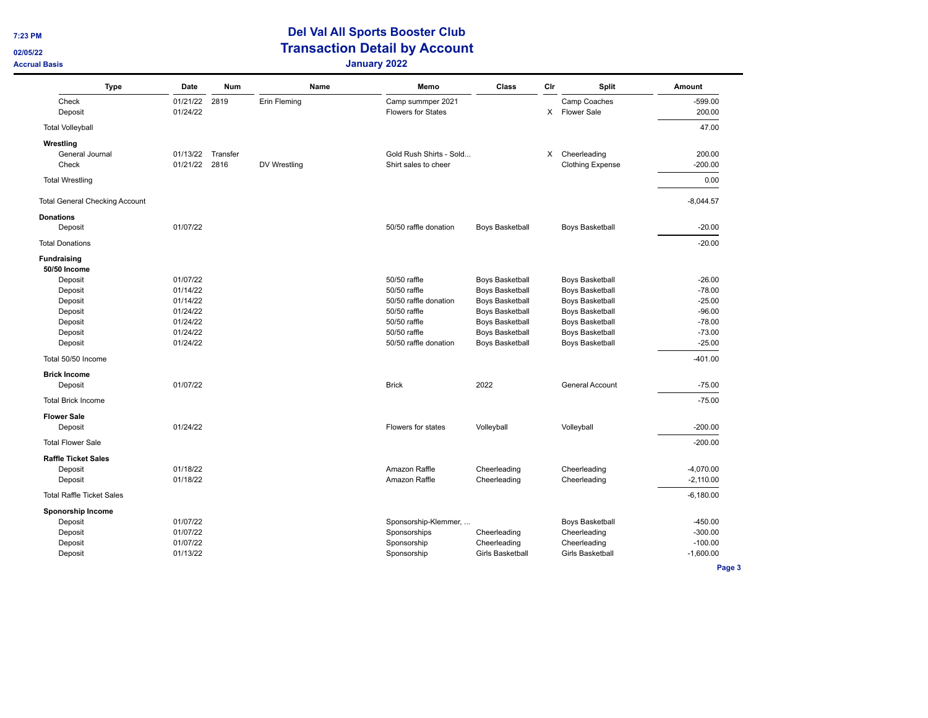# **Del Val All Sports Booster Club Transaction Detail by Account CONSISTS Accrual Basis January 2022**

|                  | <b>Type</b>                           | Date     | Num      | Name         | Memo                    | Class                  | Cir | Split                  | Amount      |
|------------------|---------------------------------------|----------|----------|--------------|-------------------------|------------------------|-----|------------------------|-------------|
|                  | Check                                 | 01/21/22 | 2819     | Erin Fleming | Camp summper 2021       |                        |     | Camp Coaches           | $-599.00$   |
|                  | Deposit                               | 01/24/22 |          |              | Flowers for States      |                        |     | X Flower Sale          | 200.00      |
|                  | <b>Total Volleyball</b>               |          |          |              |                         |                        |     |                        | 47.00       |
|                  | Wrestling                             |          |          |              |                         |                        |     |                        |             |
|                  | General Journal                       | 01/13/22 | Transfer |              | Gold Rush Shirts - Sold |                        | X.  | Cheerleading           | 200.00      |
|                  | Check                                 | 01/21/22 | 2816     | DV Wrestling | Shirt sales to cheer    |                        |     | Clothing Expense       | $-200.00$   |
|                  | <b>Total Wrestling</b>                |          |          |              |                         |                        |     |                        | 0.00        |
|                  | <b>Total General Checking Account</b> |          |          |              |                         |                        |     |                        | $-8.044.57$ |
| <b>Donations</b> |                                       |          |          |              |                         |                        |     |                        |             |
|                  | Deposit                               | 01/07/22 |          |              | 50/50 raffle donation   | <b>Boys Basketball</b> |     | <b>Boys Basketball</b> | $-20.00$    |
|                  | <b>Total Donations</b>                |          |          |              |                         |                        |     |                        | $-20.00$    |
|                  | <b>Fundraising</b><br>50/50 Income    |          |          |              |                         |                        |     |                        |             |
|                  | Deposit                               | 01/07/22 |          |              | 50/50 raffle            | <b>Boys Basketball</b> |     | <b>Boys Basketball</b> | $-26.00$    |
|                  | Deposit                               | 01/14/22 |          |              | 50/50 raffle            | <b>Boys Basketball</b> |     | <b>Boys Basketball</b> | $-78.00$    |
|                  | Deposit                               | 01/14/22 |          |              | 50/50 raffle donation   | <b>Boys Basketball</b> |     | <b>Boys Basketball</b> | $-25.00$    |
|                  | Deposit                               | 01/24/22 |          |              | 50/50 raffle            | <b>Boys Basketball</b> |     | <b>Boys Basketball</b> | $-96.00$    |
|                  | Deposit                               | 01/24/22 |          |              | 50/50 raffle            | <b>Boys Basketball</b> |     | <b>Boys Basketball</b> | $-78.00$    |
|                  | Deposit                               | 01/24/22 |          |              | 50/50 raffle            | <b>Boys Basketball</b> |     | <b>Boys Basketball</b> | $-73.00$    |
|                  | Deposit                               | 01/24/22 |          |              | 50/50 raffle donation   | <b>Boys Basketball</b> |     | <b>Boys Basketball</b> | $-25.00$    |
|                  | Total 50/50 Income                    |          |          |              |                         |                        |     |                        | $-401.00$   |
|                  | <b>Brick Income</b>                   |          |          |              |                         |                        |     |                        |             |
|                  | Deposit                               | 01/07/22 |          |              | <b>Brick</b>            | 2022                   |     | <b>General Account</b> | $-75.00$    |
|                  | <b>Total Brick Income</b>             |          |          |              |                         |                        |     |                        | $-75.00$    |
|                  | <b>Flower Sale</b>                    |          |          |              |                         |                        |     |                        |             |
|                  | Deposit                               | 01/24/22 |          |              | Flowers for states      | Volleyball             |     | Volleyball             | $-200.00$   |
|                  | <b>Total Flower Sale</b>              |          |          |              |                         |                        |     |                        | $-200.00$   |
|                  | <b>Raffle Ticket Sales</b>            |          |          |              |                         |                        |     |                        |             |
|                  | Deposit                               | 01/18/22 |          |              | Amazon Raffle           | Cheerleading           |     | Cheerleading           | $-4,070.00$ |
|                  | Deposit                               | 01/18/22 |          |              | Amazon Raffle           | Cheerleading           |     | Cheerleading           | $-2,110.00$ |
|                  | <b>Total Raffle Ticket Sales</b>      |          |          |              |                         |                        |     |                        | $-6,180.00$ |
|                  | <b>Sponorship Income</b>              |          |          |              |                         |                        |     |                        |             |
|                  | Deposit                               | 01/07/22 |          |              | Sponsorship-Klemmer,    |                        |     | <b>Boys Basketball</b> | $-450.00$   |
|                  | Deposit                               | 01/07/22 |          |              | Sponsorships            | Cheerleading           |     | Cheerleading           | $-300.00$   |
|                  | Deposit                               | 01/07/22 |          |              | Sponsorship             | Cheerleading           |     | Cheerleading           | $-100.00$   |
|                  | Deposit                               | 01/13/22 |          |              | Sponsorship             | Girls Basketball       |     | Girls Basketball       | $-1,600.00$ |
|                  |                                       |          |          |              |                         |                        |     |                        | Page 3      |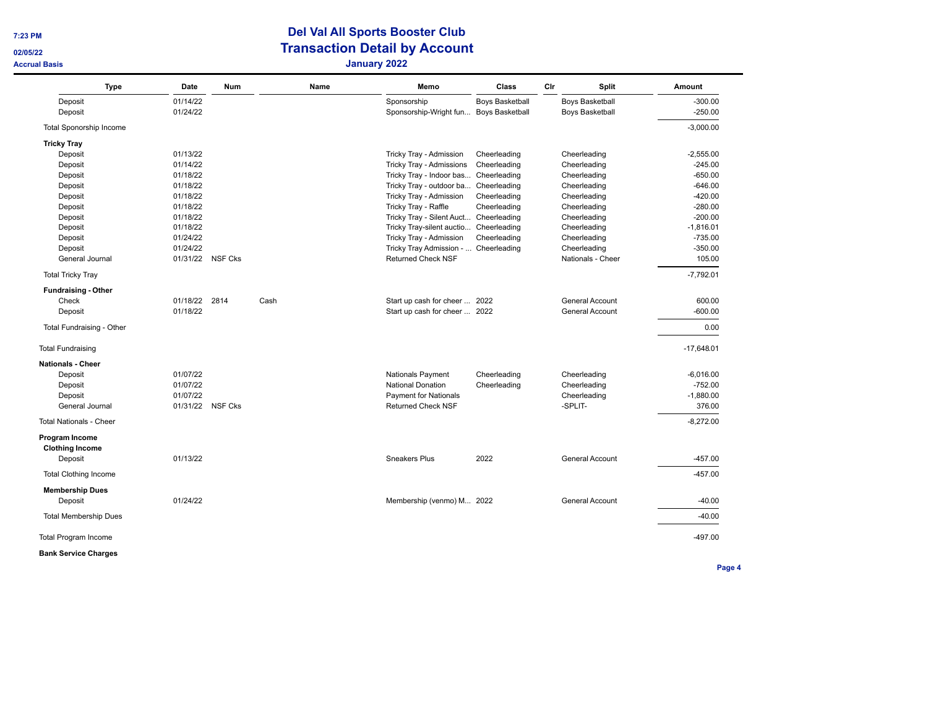$\overline{a}$ 

# **Del Val All Sports Booster Club Transaction Detail by Account CONSISTS Accrual Basis January 2022**

| <b>Type</b>                    | Date             | Num  | Name | Memo                          | Class                  | Cir | <b>Split</b>           | Amount       |
|--------------------------------|------------------|------|------|-------------------------------|------------------------|-----|------------------------|--------------|
| Deposit                        | 01/14/22         |      |      | Sponsorship                   | <b>Boys Basketball</b> |     | <b>Boys Basketball</b> | $-300.00$    |
| Deposit                        | 01/24/22         |      |      | Sponsorship-Wright fun        | <b>Boys Basketball</b> |     | <b>Boys Basketball</b> | $-250.00$    |
| <b>Total Sponorship Income</b> |                  |      |      |                               |                        |     |                        | $-3,000.00$  |
| <b>Tricky Tray</b>             |                  |      |      |                               |                        |     |                        |              |
| Deposit                        | 01/13/22         |      |      | Tricky Tray - Admission       | Cheerleading           |     | Cheerleading           | $-2,555.00$  |
| Deposit                        | 01/14/22         |      |      | Tricky Tray - Admissions      | Cheerleading           |     | Cheerleading           | $-245.00$    |
| Deposit                        | 01/18/22         |      |      | Tricky Tray - Indoor bas      | Cheerleading           |     | Cheerleading           | $-650.00$    |
| Deposit                        | 01/18/22         |      |      | Tricky Tray - outdoor ba      | Cheerleading           |     | Cheerleading           | $-646.00$    |
| Deposit                        | 01/18/22         |      |      | Tricky Tray - Admission       | Cheerleading           |     | Cheerleading           | $-420.00$    |
| Deposit                        | 01/18/22         |      |      | Tricky Tray - Raffle          | Cheerleading           |     | Cheerleading           | $-280.00$    |
| Deposit                        | 01/18/22         |      |      | Tricky Tray - Silent Auct     | Cheerleading           |     | Cheerleading           | $-200.00$    |
| Deposit                        | 01/18/22         |      |      | Tricky Tray-silent auctio     | Cheerleading           |     | Cheerleading           | $-1,816.01$  |
| Deposit                        | 01/24/22         |      |      | Tricky Tray - Admission       | Cheerleading           |     | Cheerleading           | $-735.00$    |
| Deposit                        | 01/24/22         |      |      | Tricky Tray Admission -       | Cheerleading           |     | Cheerleading           | $-350.00$    |
| General Journal                | 01/31/22 NSF Cks |      |      | <b>Returned Check NSF</b>     |                        |     | Nationals - Cheer      | 105.00       |
| <b>Total Tricky Tray</b>       |                  |      |      |                               |                        |     |                        | $-7,792.01$  |
| <b>Fundraising - Other</b>     |                  |      |      |                               |                        |     |                        |              |
| Check                          | 01/18/22         | 2814 | Cash | Start up cash for cheer  2022 |                        |     | General Account        | 600.00       |
| Deposit                        | 01/18/22         |      |      | Start up cash for cheer  2022 |                        |     | General Account        | $-600.00$    |
| Total Fundraising - Other      |                  |      |      |                               |                        |     |                        | 0.00         |
| <b>Total Fundraising</b>       |                  |      |      |                               |                        |     |                        | $-17,648.01$ |
| <b>Nationals - Cheer</b>       |                  |      |      |                               |                        |     |                        |              |
| Deposit                        | 01/07/22         |      |      | <b>Nationals Payment</b>      | Cheerleading           |     | Cheerleading           | $-6,016.00$  |
| Deposit                        | 01/07/22         |      |      | <b>National Donation</b>      | Cheerleading           |     | Cheerleading           | $-752.00$    |
| Deposit                        | 01/07/22         |      |      | <b>Payment for Nationals</b>  |                        |     | Cheerleading           | $-1,880.00$  |
| General Journal                | 01/31/22 NSF Cks |      |      | <b>Returned Check NSF</b>     |                        |     | -SPLIT-                | 376.00       |
| <b>Total Nationals - Cheer</b> |                  |      |      |                               |                        |     |                        | $-8,272.00$  |
| Program Income                 |                  |      |      |                               |                        |     |                        |              |
| <b>Clothing Income</b>         |                  |      |      |                               |                        |     |                        |              |
| Deposit                        | 01/13/22         |      |      | <b>Sneakers Plus</b>          | 2022                   |     | General Account        | $-457.00$    |
| <b>Total Clothing Income</b>   |                  |      |      |                               |                        |     |                        | $-457.00$    |
| <b>Membership Dues</b>         |                  |      |      |                               |                        |     |                        |              |
| Deposit                        | 01/24/22         |      |      | Membership (venmo) M 2022     |                        |     | General Account        | $-40.00$     |
| <b>Total Membership Dues</b>   |                  |      |      |                               |                        |     |                        | $-40.00$     |
| <b>Total Program Income</b>    |                  |      |      |                               |                        |     |                        | $-497.00$    |
| <b>Bank Service Charges</b>    |                  |      |      |                               |                        |     |                        |              |

**Page 4**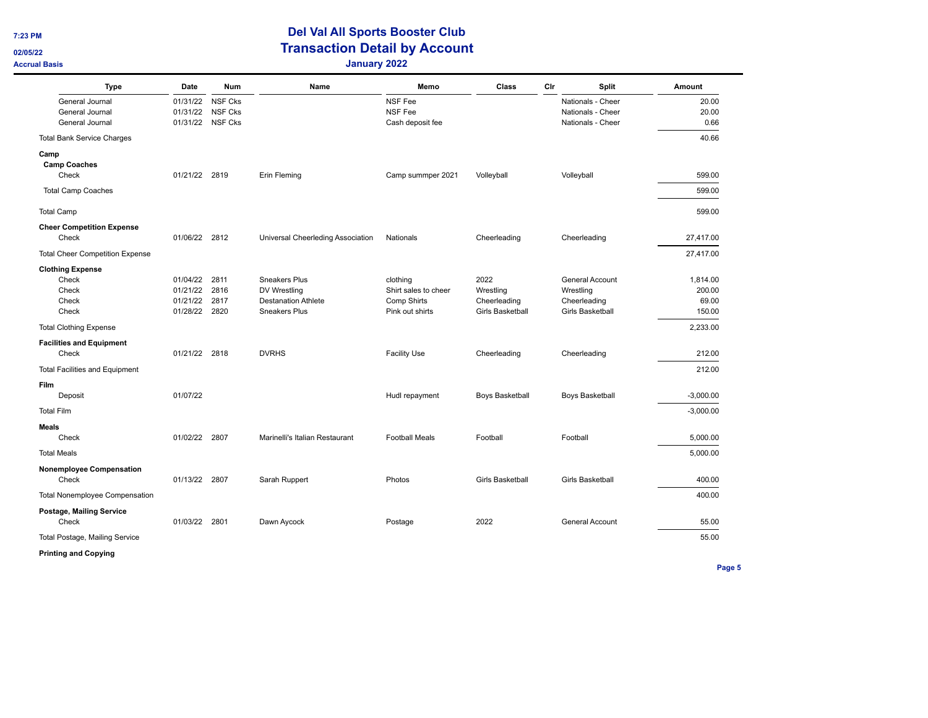**Camp** 

**Film** 

**Meals** 

## **Del Val All Sports Booster Club Transaction Detail by Account CONSISTS Accrual Basis January 2022**

 Cash deposit fee **Total Camp Coaches**  Shirt sales to cheer **Total Clothing Expense Facilities and Equipment Type Date Num Name Memo Class Clr Split Amount**  General Journal General Journal General Journal 01/31/22 NSF Cks 01/31/22 NSF Cks 01/31/22 NSF Cks NSF Fee NSF Fee Nationals - Cheer Nationals - Cheer Nationals - Cheer Total Bank Service Charges 40.66 **Camp Coaches**  Check 61/21/22 2819 Erin Fleming Camp summper 2021 Volleyball Volleyball Volleyball 599.00 Total Camp Coaches 599.00 Total Camp 599.00 **Cheer Competition Expense**  Check 01/06/22 2812 Universal Cheerleding Association Nationals Cheerleading Cheerleading 27,417.00 Total Cheer Competition Expense 27,417.00 **Clothing Expense**  Check Check Check Check 01/04/22 2811 01/21/22 2816 01/21/22 2817 01/28/22 2820 Sneakers Plus DV Wrestling Destanation Athlete Sneakers Plus clothing Comp Shirts Pink out shirts 2022 **Wrestling** Cheerleading Girls Basketball General Account Wrestling Cheerleading Girls Basketball Total Clothing Expense 2,233.00 Check 01/21/22 2818 DVRHS Facility Use Cheerleading Cheerleading 212.00 Total Facilities and Equipment 212.00 Deposit 01/07/22 Hudl repayment Boys Basketball Boys Basketball -3,000.00 Total Film -3,000.00 Check 01/02/22 2807 Marinelli's Italian Restaurant Football Meals Football Football 5,000.00 Total Meals 5,000.00 **Nonemployee Compensation**  Check 01/13/22 2807 Sarah Ruppert Photos Girls Basketball Girls Basketball 400.00 Total Nonemployee Compensation 400.00

 **Postage, Mailing Service**  Check 01/03/22 2801 Dawn Aycock Postage 2022 General Account 55.00

Total Postage, Mailing Service 55.00

 **Printing and Copying** 

**Page 5** 

20.00 20.00 0.66

1,814.00 200.00 69.00 150.00